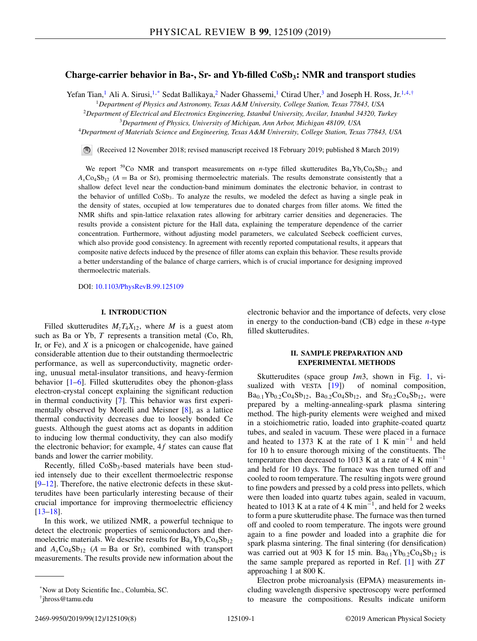# **Charge-carrier behavior in Ba-, Sr- and Yb-filled CoSb<sub>3</sub>: NMR and transport studies**

Yefan Tian,<sup>1</sup> Ali A. Sirusi,<sup>1,\*</sup> Sedat Ballikaya,<sup>2</sup> Nader Ghassemi,<sup>1</sup> Ctirad Uher,<sup>3</sup> and Joseph H. Ross, Jr.<sup>1,4,†</sup>

<sup>1</sup>*Department of Physics and Astronomy, Texas A&M University, College Station, Texas 77843, USA*

<sup>2</sup>*Department of Electrical and Electronics Engineering, Istanbul University, Avcilar, Istanbul 34320, Turkey*

<sup>3</sup>*Department of Physics, University of Michigan, Ann Arbor, Michigan 48109, USA*

<sup>4</sup>*Department of Materials Science and Engineering, Texas A&M University, College Station, Texas 77843, USA*

(Received 12 November 2018; revised manuscript received 18 February 2019; published 8 March 2019)

We report <sup>59</sup>Co NMR and transport measurements on *n*-type filled skutterudites  $Ba_xYb_yCo_4Sb_{12}$  and  $A_x \text{Co}_4 \text{Sb}_{12}$  ( $A = \text{Ba}$  or Sr), promising thermoelectric materials. The results demonstrate consistently that a shallow defect level near the conduction-band minimum dominates the electronic behavior, in contrast to the behavior of unfilled  $CoSb<sub>3</sub>$ . To analyze the results, we modeled the defect as having a single peak in the density of states, occupied at low temperatures due to donated charges from filler atoms. We fitted the NMR shifts and spin-lattice relaxation rates allowing for arbitrary carrier densities and degeneracies. The results provide a consistent picture for the Hall data, explaining the temperature dependence of the carrier concentration. Furthermore, without adjusting model parameters, we calculated Seebeck coefficient curves, which also provide good consistency. In agreement with recently reported computational results, it appears that composite native defects induced by the presence of filler atoms can explain this behavior. These results provide a better understanding of the balance of charge carriers, which is of crucial importance for designing improved thermoelectric materials.

DOI: [10.1103/PhysRevB.99.125109](https://doi.org/10.1103/PhysRevB.99.125109)

#### **I. INTRODUCTION**

Filled skutterudites  $M_zT_4X_{12}$ , where *M* is a guest atom such as Ba or Yb, *T* represents a transition metal (Co, Rh, Ir, or Fe), and *X* is a pnicogen or chalcogenide, have gained considerable attention due to their outstanding thermoelectric performance, as well as superconductivity, magnetic ordering, unusual metal-insulator transitions, and heavy-fermion behavior [\[1–6\]](#page-6-0). Filled skutterudites obey the phonon-glass electron-crystal concept explaining the significant reduction in thermal conductivity [\[7\]](#page-6-0). This behavior was first experimentally observed by Morelli and Meisner [\[8\]](#page-7-0), as a lattice thermal conductivity decreases due to loosely bonded Ce guests. Although the guest atoms act as dopants in addition to inducing low thermal conductivity, they can also modify the electronic behavior; for example,  $4f$  states can cause flat bands and lower the carrier mobility.

Recently, filled  $CoSb_3$ -based materials have been studied intensely due to their excellent thermoelectric response [\[9–12\]](#page-7-0). Therefore, the native electronic defects in these skutterudites have been particularly interesting because of their crucial importance for improving thermoelectric efficiency [\[13–18\]](#page-7-0).

In this work, we utilized NMR, a powerful technique to detect the electronic properties of semiconductors and thermoelectric materials. We describe results for  $Ba<sub>x</sub>Yb<sub>y</sub>Co<sub>4</sub>Sb<sub>12</sub>$ and  $A_x \text{Co}_4 \text{Sb}_{12}$  ( $A = \text{Ba}$  or Sr), combined with transport measurements. The results provide new information about the electronic behavior and the importance of defects, very close in energy to the conduction-band (CB) edge in these *n*-type filled skutterudites.

## **II. SAMPLE PREPARATION AND EXPERIMENTAL METHODS**

Skutterudites (space group *Im*3, shown in Fig. [1,](#page-1-0) vi-sualized with VESTA [\[19\]](#page-7-0)) of nominal composition,  $Ba_{0.1}Yb_{0.2}Co_4Sb_{12}$ ,  $Ba_{0.2}Co_4Sb_{12}$ , and  $Sr_{0.2}Co_4Sb_{12}$ , were prepared by a melting-annealing-spark plasma sintering method. The high-purity elements were weighed and mixed in a stoichiometric ratio, loaded into graphite-coated quartz tubes, and sealed in vacuum. These were placed in a furnace and heated to 1373 K at the rate of 1 K min<sup>-1</sup> and held for 10 h to ensure thorough mixing of the constituents. The temperature then decreased to 1013 K at a rate of 4 K min<sup>-1</sup> and held for 10 days. The furnace was then turned off and cooled to room temperature. The resulting ingots were ground to fine powders and pressed by a cold press into pellets, which were then loaded into quartz tubes again, sealed in vacuum, heated to 1013 K at a rate of 4 K min<sup>-1</sup>, and held for 2 weeks to form a pure skutterudite phase. The furnace was then turned off and cooled to room temperature. The ingots were ground again to a fine powder and loaded into a graphite die for spark plasma sintering. The final sintering (for densification) was carried out at 903 K for 15 min.  $Ba<sub>0.1</sub>Yb<sub>0.2</sub>Co<sub>4</sub>Sb<sub>12</sub>$  is the same sample prepared as reported in Ref. [\[1\]](#page-6-0) with *ZT* approaching 1 at 800 K.

Electron probe microanalysis (EPMA) measurements including wavelength dispersive spectroscopy were performed to measure the compositions. Results indicate uniform

<sup>\*</sup>Now at Doty Scientific Inc., Columbia, SC. †jhross@tamu.edu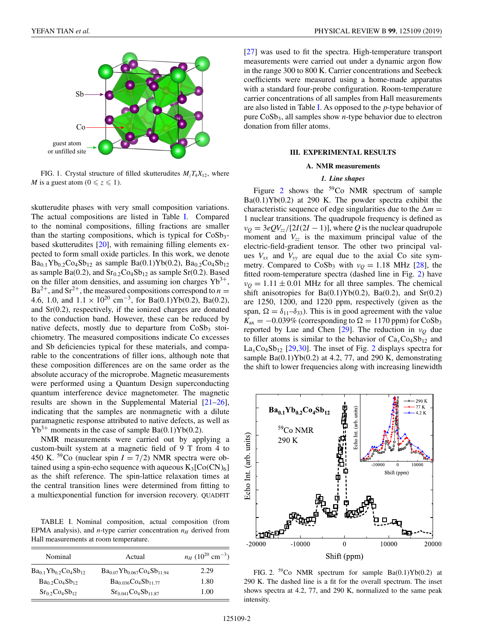<span id="page-1-0"></span>

FIG. 1. Crystal structure of filled skutterudites  $M_zT_4X_{12}$ , where *M* is a guest atom ( $0 \le z \le 1$ ).

skutterudite phases with very small composition variations. The actual compositions are listed in Table I. Compared to the nominal compositions, filling fractions are smaller than the starting compositions, which is typical for  $CoSb<sub>3</sub>$ based skutterudites [\[20\]](#page-7-0), with remaining filling elements expected to form small oxide particles. In this work, we denote  $Ba_{0.1}Yb_{0.2}Co_4Sb_{12}$  as sample  $Ba(0.1)Yb(0.2)$ ,  $Ba_{0.2}Co_4Sb_{12}$ as sample Ba(0.2), and  $Sr<sub>0.2</sub>Co<sub>4</sub>Sb<sub>12</sub>$  as sample Sr(0.2). Based on the filler atom densities, and assuming ion charges  $Yb^{3+}$ ,  $Ba^{2+}$ , and  $Sr^{2+}$ , the measured compositions correspond to *n* = 4.6, 1.0, and  $1.1 \times 10^{20}$  cm<sup>-3</sup>, for Ba(0.1)Yb(0.2), Ba(0.2), and Sr(0.2), respectively, if the ionized charges are donated to the conduction band. However, these can be reduced by native defects, mostly due to departure from  $CoSb<sub>3</sub>$  stoichiometry. The measured compositions indicate Co excesses and Sb deficiencies typical for these materials, and comparable to the concentrations of filler ions, although note that these composition differences are on the same order as the absolute accuracy of the microprobe. Magnetic measurements were performed using a Quantum Design superconducting quantum interference device magnetometer. The magnetic results are shown in the Supplemental Material [\[21–26\]](#page-7-0), indicating that the samples are nonmagnetic with a dilute paramagnetic response attributed to native defects, as well as  $Yb^{3+}$  moments in the case of sample Ba(0.1)Yb(0.2).

NMR measurements were carried out by applying a custom-built system at a magnetic field of 9 T from 4 to 450 K. <sup>59</sup>Co (nuclear spin  $I = 7/2$ ) NMR spectra were obtained using a spin-echo sequence with aqueous  $K_3[Co(CN)_6]$ as the shift reference. The spin-lattice relaxation times at the central transition lines were determined from fitting to a multiexponential function for inversion recovery. QUADFIT

TABLE I. Nominal composition, actual composition (from EPMA analysis), and  $n$ -type carrier concentration  $n_H$  derived from Hall measurements at room temperature.

| Nominal                       | Actual                                | $n_H$ (10 <sup>20</sup> cm <sup>-3</sup> ) |  |  |
|-------------------------------|---------------------------------------|--------------------------------------------|--|--|
| $Ba_{0.1}Yb_{0.2}Co_4Sb_{12}$ | $Ba_{0.07}Yb_{0.067}Co_{4}Sb_{11.94}$ | 2.29                                       |  |  |
| $Ba0$ , $Co4Sb12$             | $Ba0.036Co4Sb11.77$                   | 1.80                                       |  |  |
| $Sr0$ <sub>2</sub> $Co4Sb12$  | $Sr_{0.041}Co4Sb11.87$                | 1.00                                       |  |  |

[\[27\]](#page-7-0) was used to fit the spectra. High-temperature transport measurements were carried out under a dynamic argon flow in the range 300 to 800 K. Carrier concentrations and Seebeck coefficients were measured using a home-made apparatus with a standard four-probe configuration. Room-temperature carrier concentrations of all samples from Hall measurements are also listed in Table I. As opposed to the *p*-type behavior of pure CoSb3, all samples show *n*-type behavior due to electron donation from filler atoms.

## **III. EXPERIMENTAL RESULTS**

#### **A. NMR measurements**

## *1. Line shapes*

Figure 2 shows the 59Co NMR spectrum of sample Ba(0.1)Yb(0.2) at 290 K. The powder spectra exhibit the characteristic sequence of edge singularities due to the  $\Delta m =$ 1 nuclear transitions. The quadrupole frequency is defined as  $v<sub>O</sub> = 3eQV<sub>zz</sub>/[2I(2I - 1)]$ , where *Q* is the nuclear quadrupole moment and  $V_{zz}$  is the maximum principal value of the electric-field-gradient tensor. The other two principal values  $V_{xx}$  and  $V_{yy}$  are equal due to the axial Co site symmetry. Compared to CoSb<sub>3</sub> with  $v_Q = 1.18$  MHz [\[28\]](#page-7-0), the fitted room-temperature spectra (dashed line in Fig. 2) have  $v<sub>O</sub> = 1.11 \pm 0.01$  MHz for all three samples. The chemical shift anisotropies for Ba(0.1)Yb(0.2), Ba(0.2), and Sr(0.2) are 1250, 1200, and 1220 ppm, respectively (given as the span,  $\Omega = \delta_{11} - \delta_{33}$ . This is in good agreement with the value  $K_{\text{ax}} = -0.039\%$  (corresponding to  $\Omega = 1170$  ppm) for CoSb<sub>3</sub> reported by Lue and Chen [\[29\]](#page-7-0). The reduction in  $v<sub>O</sub>$  due to filler atoms is similar to the behavior of  $Ca<sub>x</sub>Co<sub>4</sub>Sb<sub>12</sub>$  and  $La_{x}Co_{4}Sb_{12}$  [\[29,30\]](#page-7-0). The inset of Fig. 2 displays spectra for sample  $Ba(0.1)Yb(0.2)$  at 4.2, 77, and 290 K, demonstrating the shift to lower frequencies along with increasing linewidth



FIG. 2.  $^{59}$ Co NMR spectrum for sample Ba(0.1)Yb(0.2) at 290 K. The dashed line is a fit for the overall spectrum. The inset shows spectra at 4.2, 77, and 290 K, normalized to the same peak intensity.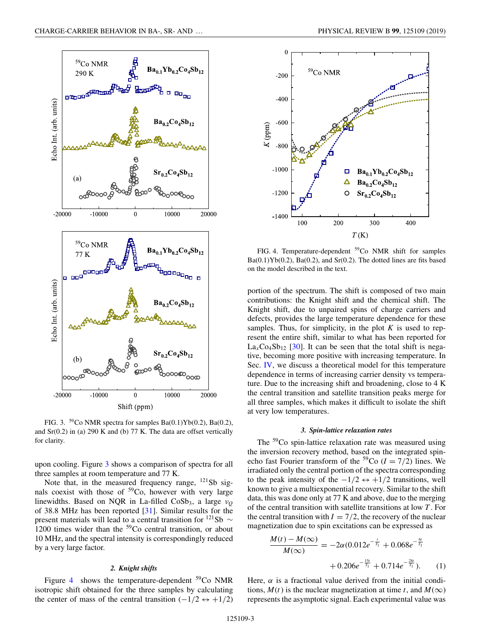<span id="page-2-0"></span>

FIG. 3.  $^{59}$ Co NMR spectra for samples Ba(0.1)Yb(0.2), Ba(0.2), and  $Sr(0.2)$  in (a) 290 K and (b) 77 K. The data are offset vertically for clarity.

upon cooling. Figure 3 shows a comparison of spectra for all three samples at room temperature and 77 K.

Note that, in the measured frequency range,  $^{121}Sb$  signals coexist with those of  $5^9$ Co, however with very large linewidths. Based on NQR in La-filled CoSb<sub>3</sub>, a large ν<sub>0</sub> of 38.8 MHz has been reported [\[31\]](#page-7-0). Similar results for the present materials will lead to a central transition for <sup>121</sup>Sb  $\sim$ 1200 times wider than the  $59^{\circ}$ Co central transition, or about 10 MHz, and the spectral intensity is correspondingly reduced by a very large factor.

#### *2. Knight shifts*

Figure 4 shows the temperature-dependent  $59^{\circ}$ Co NMR isotropic shift obtained for the three samples by calculating the center of mass of the central transition  $(-1/2 \leftrightarrow +1/2)$ 



FIG. 4. Temperature-dependent <sup>59</sup>Co NMR shift for samples  $Ba(0.1)Yb(0.2)$ ,  $Ba(0.2)$ , and  $Sr(0.2)$ . The dotted lines are fits based on the model described in the text.

portion of the spectrum. The shift is composed of two main contributions: the Knight shift and the chemical shift. The Knight shift, due to unpaired spins of charge carriers and defects, provides the large temperature dependence for these samples. Thus, for simplicity, in the plot  $K$  is used to represent the entire shift, similar to what has been reported for  $La_{x}Co_{4}Sb_{12}$  [\[30\]](#page-7-0). It can be seen that the total shift is negative, becoming more positive with increasing temperature. In Sec. [IV,](#page-3-0) we discuss a theoretical model for this temperature dependence in terms of increasing carrier density vs temperature. Due to the increasing shift and broadening, close to 4 K the central transition and satellite transition peaks merge for all three samples, which makes it difficult to isolate the shift at very low temperatures.

#### *3. Spin-lattice relaxation rates*

The <sup>59</sup>Co spin-lattice relaxation rate was measured using the inversion recovery method, based on the integrated spinecho fast Fourier transform of the <sup>59</sup>Co ( $I = 7/2$ ) lines. We irradiated only the central portion of the spectra corresponding to the peak intensity of the  $-1/2 \leftrightarrow +1/2$  transitions, well known to give a multiexponential recovery. Similar to the shift data, this was done only at 77 K and above, due to the merging of the central transition with satellite transitions at low *T* . For the central transition with  $I = 7/2$ , the recovery of the nuclear magnetization due to spin excitations can be expressed as

$$
\frac{M(t) - M(\infty)}{M(\infty)} = -2\alpha (0.012e^{-\frac{t}{T_1}} + 0.068e^{-\frac{6t}{T_1}} + 0.714e^{-\frac{28t}{T_1}}).
$$
 (1)

Here,  $\alpha$  is a fractional value derived from the initial conditions,  $M(t)$  is the nuclear magnetization at time *t*, and  $M(\infty)$ represents the asymptotic signal. Each experimental value was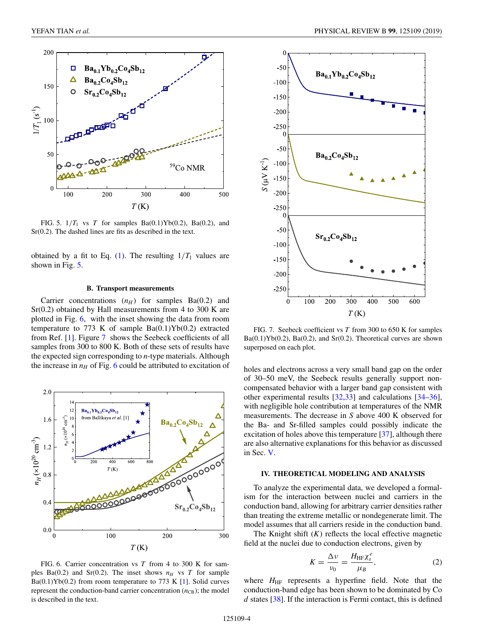<span id="page-3-0"></span>

FIG. 5.  $1/T_1$  vs *T* for samples Ba(0.1)Yb(0.2), Ba(0.2), and Sr(0.2). The dashed lines are fits as described in the text.

obtained by a fit to Eq.  $(1)$ . The resulting  $1/T_1$  values are shown in Fig.  $5$ .

## **B. Transport measurements**

Carrier concentrations  $(n_H)$  for samples Ba(0.2) and Sr(0.2) obtained by Hall measurements from 4 to 300 K are plotted in Fig. 6, with the inset showing the data from room temperature to 773 K of sample  $Ba(0.1)Yb(0.2)$  extracted from Ref. [\[1\]](#page-6-0). Figure 7 shows the Seebeck coefficients of all samples from 300 to 800 K. Both of these sets of results have the expected sign corresponding to *n*-type materials. Although the increase in  $n_H$  of Fig. 6 could be attributed to excitation of



FIG. 6. Carrier concentration vs *T* from 4 to 300 K for samples Ba(0.2) and Sr(0.2). The inset shows  $n_H$  vs T for sample  $Ba(0.1)Yb(0.2)$  from room temperature to 773 K [\[1\]](#page-6-0). Solid curves represent the conduction-band carrier concentration  $(n_{CB})$ ; the model is described in the text.



FIG. 7. Seebeck coefficient vs *T* from 300 to 650 K for samples  $Ba(0.1)Yb(0.2)$ ,  $Ba(0.2)$ , and  $Sr(0.2)$ . Theoretical curves are shown superposed on each plot.

holes and electrons across a very small band gap on the order of 30–50 meV, the Seebeck results generally support noncompensated behavior with a larger band gap consistent with other experimental results [\[32,33\]](#page-7-0) and calculations [\[34–36\]](#page-7-0), with negligible hole contribution at temperatures of the NMR measurements. The decrease in *S* above 400 K observed for the Ba- and Sr-filled samples could possibly indicate the excitation of holes above this temperature [\[37\]](#page-7-0), although there are also alternative explanations for this behavior as discussed in Sec. [V.](#page-5-0)

#### **IV. THEORETICAL MODELING AND ANALYSIS**

To analyze the experimental data, we developed a formalism for the interaction between nuclei and carriers in the conduction band, allowing for arbitrary carrier densities rather than treating the extreme metallic or nondegenerate limit. The model assumes that all carriers reside in the conduction band.

The Knight shift  $(K)$  reflects the local effective magnetic field at the nuclei due to conduction electrons, given by

$$
K = \frac{\Delta v}{v_0} = \frac{H_{\text{HF}} \chi_s^e}{\mu_B},\tag{2}
$$

where  $H_{\text{HF}}$  represents a hyperfine field. Note that the conduction-band edge has been shown to be dominated by Co *d* states [\[38\]](#page-7-0). If the interaction is Fermi contact, this is defined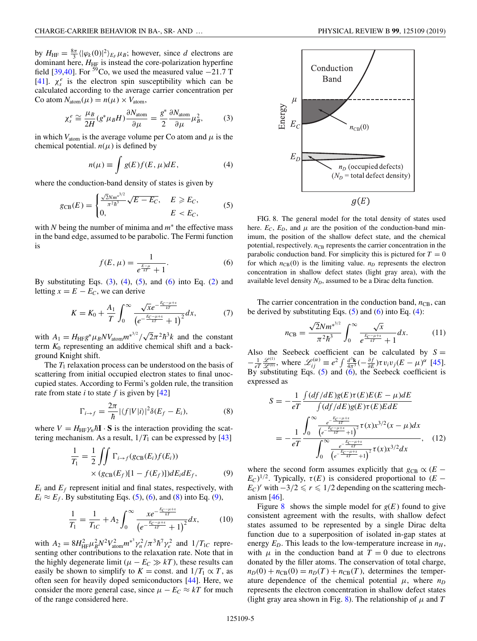<span id="page-4-0"></span>by  $H_{\text{HF}} = \frac{8\pi}{3} \langle |\varphi_k(0)|^2 \rangle_{E_F} \mu_B$ ; however, since *d* electrons are dominant here,  $H<sub>HF</sub>$  is instead the core-polarization hyperfine field [\[39,40\]](#page-7-0). For <sup>59</sup>Co, we used the measured value  $-21.7$  T [\[41\]](#page-7-0).  $\chi_s^e$  is the electron spin susceptibility which can be calculated according to the average carrier concentration per Co atom  $N_{\text{atom}}(\mu) = n(\mu) \times V_{\text{atom}}$ ,

$$
\chi_s^e \cong \frac{\mu_B}{2H} (g^* \mu_B H) \frac{\partial N_{\text{atom}}}{\partial \mu} = \frac{g^*}{2} \frac{\partial N_{\text{atom}}}{\partial \mu} \mu_B^2, \tag{3}
$$

in which  $V_{\text{atom}}$  is the average volume per Co atom and  $\mu$  is the chemical potential.  $n(\mu)$  is defined by

$$
n(\mu) \equiv \int g(E)f(E,\,\mu)dE,\tag{4}
$$

where the conduction-band density of states is given by

$$
g_{CB}(E) = \begin{cases} \frac{\sqrt{2}Nm^{*^{3/2}}}{\pi^{2}\hbar^{3}}\sqrt{E - E_{C}}, & E \geq E_{C}, \\ 0, & E < E_{C}, \end{cases}
$$
(5)

with *N* being the number of minima and *m*<sup>∗</sup> the effective mass in the band edge, assumed to be parabolic. The Fermi function is

$$
f(E,\mu) = \frac{1}{e^{\frac{E-\mu}{kT}} + 1}.
$$
 (6)

By substituting Eqs.  $(3)$ ,  $(4)$ ,  $(5)$ , and  $(6)$  into Eq.  $(2)$  and letting  $x = E - E_C$ , we can derive

$$
K = K_0 + \frac{A_1}{T} \int_0^\infty \frac{\sqrt{x} e^{-\frac{E_C - \mu + x}{kT}}}{\left(e^{-\frac{E_C - \mu + x}{kT}} + 1\right)^2} dx, \tag{7}
$$

with  $A_1 = H_{\text{HF}}g^* \mu_B N V_{\text{atom}} m^{*^{3/2}} / \sqrt{2\pi^2 \hbar^3 k}$  and the constant term  $K_0$  representing an additive chemical shift and a background Knight shift.

The  $T_1$  relaxation process can be understood on the basis of scattering from initial occupied electron states to final unoccupied states. According to Fermi's golden rule, the transition rate from state *i* to state *f* is given by [\[42\]](#page-7-0)

$$
\Gamma_{i \to f} = \frac{2\pi}{\hbar} |\langle f|V|i\rangle|^2 \delta(E_f - E_i),\tag{8}
$$

where  $V = H_{HF} \gamma_n \hbar \mathbf{I} \cdot \mathbf{S}$  is the interaction providing the scattering mechanism. As a result,  $1/T_1$  can be expressed by [\[43\]](#page-7-0)

$$
\frac{1}{T_1} = \frac{1}{2} \iint \Gamma_{i \to f}(g_{CB}(E_i)f(E_i))
$$
  
×  $(g_{CB}(E_f)[1 - f(E_f)])dE_i dE_f,$  (9)

 $E_i$  and  $E_f$  represent initial and final states, respectively, with  $E_i \approx E_f$ . By substituting Eqs. (5), (6), and (8) into Eq. (9),

$$
\frac{1}{T_1} = \frac{1}{T_{1C}} + A_2 \int_0^\infty \frac{xe^{-\frac{E_C - \mu + x}{kT}}}{\left(e^{-\frac{E_C - \mu + x}{kT}} + 1\right)^2} dx, \tag{10}
$$

with  $A_2 = 8H_{\text{HF}}^2 \mu_B^2 N^2 V_{\text{atom}}^2 m^* \gamma_n^2 / \pi^3 \hbar^7 \gamma_e^2$  and  $1/T_{1C}$  representing other contributions to the relaxation rate. Note that in the highly degenerate limit ( $\mu - E_C \gg kT$ ), these results can easily be shown to simplify to  $K =$  const. and  $1/T_1 \propto T$ , as often seen for heavily doped semiconductors [\[44\]](#page-7-0). Here, we consider the more general case, since  $\mu - E_C \approx kT$  for much of the range considered here.



FIG. 8. The general model for the total density of states used here.  $E_C$ ,  $E_D$ , and  $\mu$  are the position of the conduction-band minimum, the position of the shallow defect state, and the chemical potential, respectively.  $n_{\text{CB}}$  represents the carrier concentration in the parabolic conduction band. For simplicity this is pictured for  $T = 0$ for which  $n_{CB}(0)$  is the limiting value.  $n_D$  represents the electron concentration in shallow defect states (light gray area), with the available level density  $N_D$ , assumed to be a Dirac delta function.

The carrier concentration in the conduction band,  $n_{CB}$ , can be derived by substituting Eqs.  $(5)$  and  $(6)$  into Eq.  $(4)$ :

$$
n_{\text{CB}} = \frac{\sqrt{2}Nm^{*^{3/2}}}{\pi^2\hbar^3} \int_0^\infty \frac{\sqrt{x}}{e^{\frac{E_C-\mu+x}{kT}}+1} dx. \tag{11}
$$

Also the Seebeck coefficient can be calculated by  $S =$  $-\frac{1}{eT}\frac{\mathscr{L}^{(1)}}{\mathscr{L}^{(0)}},$  where  $\mathscr{L}_{ij}^{(\alpha)} \equiv e^2 \int \frac{d^3 \mathbf{k}}{4\pi^3} (-\frac{\partial f}{\partial E}) \tau v_i v_j (E - \mu)^{\alpha}$  [\[45\]](#page-7-0). By substituting Eqs. (5) and (6), the Seebeck coefficient is expressed as

$$
S = -\frac{1}{eT} \frac{\int (df/dE)g(E)\tau(E)E(E - \mu)dE}{\int (df/dE)g(E)\tau(E)EdE}
$$
  
= 
$$
-\frac{1}{eT} \frac{\int_0^\infty \frac{e^{-\frac{E_C - \mu + x}{kT}}}{\int_0^\infty \frac{e^{-\frac{E_C - \mu + x}{kT}}}{\left(e^{-\frac{E_C - \mu + x}{kT}} + 1\right)^2} \tau(x)x^{3/2}dx}{\int_0^\infty \frac{e^{-\frac{E_C - \mu + x}{kT}}}{\left(e^{-\frac{E_C - \mu + x}{kT}} + 1\right)^2} \tau(x)x^{3/2}dx}
$$
(12)

where the second form assumes explicitly that  $g_{CB} \propto (E (E_C)^{1/2}$ . Typically,  $\tau(E)$  is considered proportional to  $(E E_C$ <sup>*r*</sup> with  $-3/2 \le r \le 1/2$  depending on the scattering mechanism  $[46]$ .

Figure 8 shows the simple model for  $g(E)$  found to give consistent agreement with the results, with shallow defect states assumed to be represented by a single Dirac delta function due to a superposition of isolated in-gap states at energy  $E_D$ . This leads to the low-temperature increase in  $n_H$ , with  $\mu$  in the conduction band at  $T = 0$  due to electrons donated by the filler atoms. The conservation of total charge,  $n_D(0) + n_{CB}(0) = n_D(T) + n_{CB}(T)$ , determines the temperature dependence of the chemical potential  $\mu$ , where  $n_D$ represents the electron concentration in shallow defect states (light gray area shown in Fig. 8). The relationship of  $\mu$  and T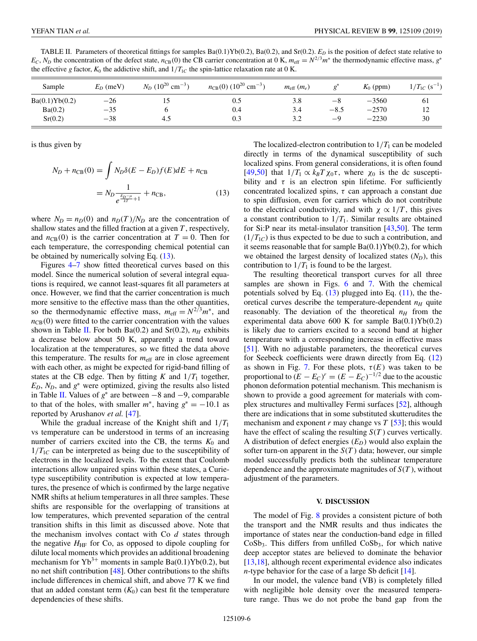<span id="page-5-0"></span>TABLE II. Parameters of theoretical fittings for samples Ba(0.1)Yb(0.2), Ba(0.2), and Sr(0.2). *ED* is the position of defect state relative to  $E_C$ ,  $N_D$  the concentration of the defect state,  $n_{CB}(0)$  the CB carrier concentration at 0 K,  $m_{eff} = N^{2/3}m^*$  the thermodynamic effective mass, *g*<sup>∗</sup> the effective *g* factor,  $K_0$  the addictive shift, and  $1/T_{1C}$  the spin-lattice relaxation rate at 0 K.

| Sample         | $E_D$ (meV) | $N_D$ (10 <sup>20</sup> cm <sup>-3</sup> ) | $n_{\text{CB}}(0)$ (10 <sup>20</sup> cm <sup>-3</sup> ) | $m_{\text{eff}}(m_e)$ |        | $K_0$ (ppm) | $1/T_{1C}$ (s <sup>-1</sup> ) |
|----------------|-------------|--------------------------------------------|---------------------------------------------------------|-----------------------|--------|-------------|-------------------------------|
| Ba(0.1)Yb(0.2) | $-26$       | ن 1                                        | 0.5                                                     | 3.8                   | $-8$   | $-3560$     | -61                           |
| Ba(0.2)        | $-35$       |                                            | 0.4                                                     | 3.4                   | $-8.5$ | $-2570$     | 12                            |
| Sr(0.2)        | $-38$       | 4.5                                        | 0.3                                                     | 3.2                   | $-9$   | $-2230$     | 30                            |

is thus given by

$$
N_D + n_{CB}(0) = \int N_D \delta(E - E_D) f(E) dE + n_{CB}
$$
  
= 
$$
N_D \frac{1}{e^{\frac{E_D - \mu}{kT} + 1}} + n_{CB},
$$
 (13)

where  $N_D = n_D(0)$  and  $n_D(T)/N_D$  are the concentration of shallow states and the filled fraction at a given *T* , respectively, and  $n_{CB}(0)$  is the carrier concentration at  $T = 0$ . Then for each temperature, the corresponding chemical potential can be obtained by numerically solving Eq. (13).

Figures [4](#page-2-0)[–7](#page-3-0) show fitted theoretical curves based on this model. Since the numerical solution of several integral equations is required, we cannot least-squares fit all parameters at once. However, we find that the carrier concentration is much more sensitive to the effective mass than the other quantities, so the thermodynamic effective mass,  $m_{\text{eff}} = N^{2/3}m^*$ , and  $n_{CB}(0)$  were fitted to the carrier concentration with the values shown in Table II. For both Ba(0.2) and Sr(0.2),  $n_H$  exhibits a decrease below about 50 K, apparently a trend toward localization at the temperatures, so we fitted the data above this temperature. The results for  $m_{\text{eff}}$  are in close agreement with each other, as might be expected for rigid-band filling of states at the CB edge. Then by fitting  $K$  and  $1/T_1$  together,  $E_D$ ,  $N_D$ , and  $g^*$  were optimized, giving the results also listed in Table II. Values of *g*<sup>∗</sup> are between −8 and −9, comparable to that of the holes, with smaller  $m^*$ , having  $g^* = -10.1$  as reported by Arushanov *et al.* [\[47\]](#page-7-0).

While the gradual increase of the Knight shift and  $1/T_1$ vs temperature can be understood in terms of an increasing number of carriers excited into the CB, the terms  $K_0$  and  $1/T_{1C}$  can be interpreted as being due to the susceptibility of electrons in the localized levels. To the extent that Coulomb interactions allow unpaired spins within these states, a Curietype susceptibility contribution is expected at low temperatures, the presence of which is confirmed by the large negative NMR shifts at helium temperatures in all three samples. These shifts are responsible for the overlapping of transitions at low temperatures, which prevented separation of the central transition shifts in this limit as discussed above. Note that the mechanism involves contact with Co *d* states through the negative  $H_{\text{HF}}$  for Co, as opposed to dipole coupling for dilute local moments which provides an additional broadening mechanism for  $Yb^{3+}$  moments in sample Ba(0.1)Yb(0.2), but no net shift contribution [\[48\]](#page-7-0). Other contributions to the shifts include differences in chemical shift, and above 77 K we find that an added constant term  $(K_0)$  can best fit the temperature dependencies of these shifts.

The localized-electron contribution to  $1/T_1$  can be modeled directly in terms of the dynamical susceptibility of such localized spins. From general considerations, it is often found [\[49,50\]](#page-7-0) that  $1/T_1 \propto k_B T \chi_0 \tau$ , where  $\chi_0$  is the dc susceptibility and  $\tau$  is an electron spin lifetime. For sufficiently concentrated localized spins,  $\tau$  can approach a constant due to spin diffusion, even for carriers which do not contribute to the electrical conductivity, and with  $\chi \propto 1/T$ , this gives a constant contribution to  $1/T_1$ . Similar results are obtained for Si:P near its metal-insulator transition [\[43,50\]](#page-7-0). The term  $(1/T_{1C})$  is thus expected to be due to such a contribution, and it seems reasonable that for sample  $Ba(0.1)Yb(0.2)$ , for which we obtained the largest density of localized states  $(N_D)$ , this contribution to  $1/T_1$  is found to be the largest.

The resulting theoretical transport curves for all three samples are shown in Figs. [6](#page-3-0) and [7.](#page-3-0) With the chemical potentials solved by Eq.  $(13)$  plugged into Eq.  $(11)$ , the theoretical curves describe the temperature-dependent  $n_H$  quite reasonably. The deviation of the theoretical  $n_H$  from the experimental data above 600 K for sample  $Ba(0.1)Yb(0.2)$ is likely due to carriers excited to a second band at higher temperature with a corresponding increase in effective mass [\[51\]](#page-7-0). With no adjustable parameters, the theoretical curves for Seebeck coefficients were drawn directly from Eq. [\(12\)](#page-4-0) as shown in Fig. [7.](#page-3-0) For these plots,  $\tau(E)$  was taken to be proportional to  $(E - E_C)^r = (E - E_C)^{-1/2}$  due to the acoustic phonon deformation potential mechanism. This mechanism is shown to provide a good agreement for materials with complex structures and multivalley Fermi surfaces [\[52\]](#page-7-0), although there are indications that in some substituted skutterudites the mechanism and exponent  $r$  may change vs  $T$  [\[53\]](#page-7-0); this would have the effect of scaling the resulting *S*(*T* ) curves vertically. A distribution of defect energies  $(E_D)$  would also explain the softer turn-on apparent in the *S*(*T* ) data; however, our simple model successfully predicts both the sublinear temperature dependence and the approximate magnitudes of *S*(*T* ), without adjustment of the parameters.

#### **V. DISCUSSION**

The model of Fig. [8](#page-4-0) provides a consistent picture of both the transport and the NMR results and thus indicates the importance of states near the conduction-band edge in filled  $CoSb<sub>3</sub>$ . This differs from unfilled  $CoSb<sub>3</sub>$ , for which native deep acceptor states are believed to dominate the behavior [\[13,18\]](#page-7-0), although recent experimental evidence also indicates *n*-type behavior for the case of a large Sb deficit [\[14\]](#page-7-0).

In our model, the valence band (VB) is completely filled with negligible hole density over the measured temperature range. Thus we do not probe the band gap from the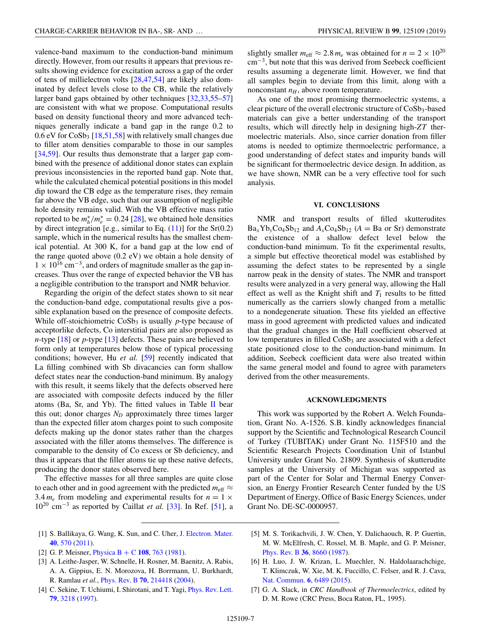<span id="page-6-0"></span>valence-band maximum to the conduction-band minimum directly. However, from our results it appears that previous results showing evidence for excitation across a gap of the order of tens of millielectron volts [\[28,47,54\]](#page-7-0) are likely also dominated by defect levels close to the CB, while the relatively larger band gaps obtained by other techniques [\[32,33,55–57\]](#page-7-0) are consistent with what we propose. Computational results based on density functional theory and more advanced techniques generally indicate a band gap in the range 0.2 to  $0.6$  eV for CoSb<sub>3</sub> [\[18,51,58\]](#page-7-0) with relatively small changes due to filler atom densities comparable to those in our samples [\[34,59\]](#page-7-0). Our results thus demonstrate that a larger gap combined with the presence of additional donor states can explain previous inconsistencies in the reported band gap. Note that, while the calculated chemical potential positions in this model dip toward the CB edge as the temperature rises, they remain far above the VB edge, such that our assumption of negligible hole density remains valid. With the VB effective mass ratio reported to be  $m_h^*/m_e^* = 0.24$  [\[28\]](#page-7-0), we obtained hole densities by direct integration [e.g., similar to Eq.  $(11)$ ] for the Sr $(0.2)$ sample, which in the numerical results has the smallest chemical potential. At 300 K, for a band gap at the low end of the range quoted above (0.2 eV) we obtain a hole density of  $1 \times 10^{16}$  cm<sup>-3</sup>, and orders of magnitude smaller as the gap increases. Thus over the range of expected behavior the VB has a negligible contribution to the transport and NMR behavior.

Regarding the origin of the defect states shown to sit near the conduction-band edge, computational results give a possible explanation based on the presence of composite defects. While off-stoichiometric  $CoSb<sub>3</sub>$  is usually *p*-type because of acceptorlike defects, Co interstitial pairs are also proposed as *n*-type [\[18\]](#page-7-0) or *p*-type [\[13\]](#page-7-0) defects. These pairs are believed to form only at temperatures below those of typical processing conditions; however, Hu *et al.* [\[59\]](#page-7-0) recently indicated that La filling combined with Sb divacancies can form shallow defect states near the conduction-band minimum. By analogy with this result, it seems likely that the defects observed here are associated with composite defects induced by the filler atoms (Ba, Sr, and Yb). The fitted values in Table  $II$  bear this out; donor charges  $N_D$  approximately three times larger than the expected filler atom charges point to such composite defects making up the donor states rather than the charges associated with the filler atoms themselves. The difference is comparable to the density of Co excess or Sb deficiency, and thus it appears that the filler atoms tie up these native defects, producing the donor states observed here.

The effective masses for all three samples are quite close to each other and in good agreement with the predicted  $m_{\text{eff}} \approx$ 3.4  $m_e$  from modeling and experimental results for  $n = 1 \times$ 10<sup>20</sup> cm−<sup>3</sup> as reported by Caillat *et al.* [\[33\]](#page-7-0). In Ref. [\[51\]](#page-7-0), a

- [1] S. Ballikaya, G. Wang, K. Sun, and C. Uher, [J. Electron. Mater.](https://doi.org/10.1007/s11664-010-1454-3) **[40](https://doi.org/10.1007/s11664-010-1454-3)**, [570](https://doi.org/10.1007/s11664-010-1454-3) [\(2011\)](https://doi.org/10.1007/s11664-010-1454-3).
- [2] G. P. Meisner, [Physica B](https://doi.org/10.1016/0378-4363(81)90686-0) + C **[108](https://doi.org/10.1016/0378-4363(81)90686-0)**, [763](https://doi.org/10.1016/0378-4363(81)90686-0) [\(1981\)](https://doi.org/10.1016/0378-4363(81)90686-0).
- [3] A. Leithe-Jasper, W. Schnelle, H. Rosner, M. Baenitz, A. Rabis, A. A. Gippius, E. N. Morozova, H. Borrmann, U. Burkhardt, R. Ramlau *et al.*, [Phys. Rev. B](https://doi.org/10.1103/PhysRevB.70.214418) **[70](https://doi.org/10.1103/PhysRevB.70.214418)**, [214418](https://doi.org/10.1103/PhysRevB.70.214418) [\(2004\)](https://doi.org/10.1103/PhysRevB.70.214418).
- [4] C. Sekine, T. Uchiumi, I. Shirotani, and T. Yagi, *[Phys. Rev. Lett.](https://doi.org/10.1103/PhysRevLett.79.3218)* **[79](https://doi.org/10.1103/PhysRevLett.79.3218)**, [3218](https://doi.org/10.1103/PhysRevLett.79.3218) [\(1997\)](https://doi.org/10.1103/PhysRevLett.79.3218).

slightly smaller  $m_{\text{eff}} \approx 2.8 m_e$  was obtained for  $n = 2 \times 10^{20}$ cm−3, but note that this was derived from Seebeck coefficient results assuming a degenerate limit. However, we find that all samples begin to deviate from this limit, along with a nonconstant  $n_H$ , above room temperature.

As one of the most promising thermoelectric systems, a clear picture of the overall electronic structure of  $CoSb<sub>3</sub>$ -based materials can give a better understanding of the transport results, which will directly help in designing high-*ZT* thermoelectric materials. Also, since carrier donation from filler atoms is needed to optimize thermoelectric performance, a good understanding of defect states and impurity bands will be significant for thermoelectric device design. In addition, as we have shown, NMR can be a very effective tool for such analysis.

## **VI. CONCLUSIONS**

NMR and transport results of filled skutterudites  $Ba_xYb_vCo_4Sb_{12}$  and  $A_xCo_4Sb_{12}$  ( $A = Ba$  or Sr) demonstrate the existence of a shallow defect level below the conduction-band minimum. To fit the experimental results, a simple but effective theoretical model was established by assuming the defect states to be represented by a single narrow peak in the density of states. The NMR and transport results were analyzed in a very general way, allowing the Hall effect as well as the Knight shift and  $T_1$  results to be fitted numerically as the carriers slowly changed from a metallic to a nondegenerate situation. These fits yielded an effective mass in good agreement with predicted values and indicated that the gradual changes in the Hall coefficient observed at low temperatures in filled  $CoSb<sub>3</sub>$  are associated with a defect state positioned close to the conduction-band minimum. In addition, Seebeck coefficient data were also treated within the same general model and found to agree with parameters derived from the other measurements.

## **ACKNOWLEDGMENTS**

This work was supported by the Robert A. Welch Foundation, Grant No. A-1526. S.B. kindly acknowledges financial support by the Scientific and Technological Research Council of Turkey (TUBITAK) under Grant No. 115F510 and the Scientific Research Projects Coordination Unit of Istanbul University under Grant No. 21809. Synthesis of skutterudite samples at the University of Michigan was supported as part of the Center for Solar and Thermal Energy Conversion, an Energy Frontier Research Center funded by the US Department of Energy, Office of Basic Energy Sciences, under Grant No. DE-SC-0000957.

- [5] M. S. Torikachvili, J. W. Chen, Y. Dalichaouch, R. P. Guertin, M. W. McElfresh, C. Rossel, M. B. Maple, and G. P. Meisner, [Phys. Rev. B](https://doi.org/10.1103/PhysRevB.36.8660) **[36](https://doi.org/10.1103/PhysRevB.36.8660)**, [8660](https://doi.org/10.1103/PhysRevB.36.8660) [\(1987\)](https://doi.org/10.1103/PhysRevB.36.8660).
- [6] H. Luo, J. W. Krizan, L. Muechler, N. Haldolaarachchige, T. Klimczuk, W. Xie, M. K. Fuccillo, C. Felser, and R. J. Cava, [Nat. Commun.](https://doi.org/10.1038/ncomms7489) **[6](https://doi.org/10.1038/ncomms7489)**, [6489](https://doi.org/10.1038/ncomms7489) [\(2015\)](https://doi.org/10.1038/ncomms7489).
- [7] G. A. Slack, in *CRC Handbook of Thermoelectrics*, edited by D. M. Rowe (CRC Press, Boca Raton, FL, 1995).